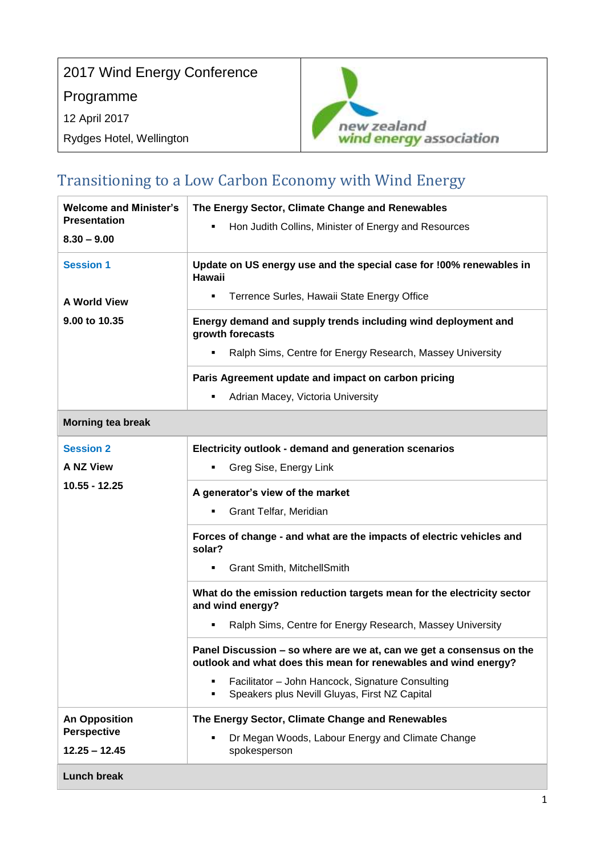

## Transitioning to a Low Carbon Economy with Wind Energy

| <b>Welcome and Minister's</b>         | The Energy Sector, Climate Change and Renewables                                                                                        |
|---------------------------------------|-----------------------------------------------------------------------------------------------------------------------------------------|
| <b>Presentation</b>                   | Hon Judith Collins, Minister of Energy and Resources<br>٠                                                                               |
| $8.30 - 9.00$                         |                                                                                                                                         |
| <b>Session 1</b>                      | Update on US energy use and the special case for !00% renewables in<br><b>Hawaii</b>                                                    |
| <b>A World View</b>                   | Terrence Surles, Hawaii State Energy Office<br>٠.                                                                                       |
| 9.00 to 10.35                         | Energy demand and supply trends including wind deployment and<br>growth forecasts                                                       |
|                                       | Ralph Sims, Centre for Energy Research, Massey University                                                                               |
|                                       | Paris Agreement update and impact on carbon pricing                                                                                     |
|                                       | Adrian Macey, Victoria University                                                                                                       |
| <b>Morning tea break</b>              |                                                                                                                                         |
| <b>Session 2</b>                      | Electricity outlook - demand and generation scenarios                                                                                   |
| <b>A NZ View</b>                      | Greg Sise, Energy Link                                                                                                                  |
| 10.55 - 12.25                         | A generator's view of the market                                                                                                        |
|                                       | Grant Telfar, Meridian<br>٠                                                                                                             |
|                                       | Forces of change - and what are the impacts of electric vehicles and<br>solar?                                                          |
|                                       | <b>Grant Smith, MitchellSmith</b>                                                                                                       |
|                                       | What do the emission reduction targets mean for the electricity sector<br>and wind energy?                                              |
|                                       | Ralph Sims, Centre for Energy Research, Massey University                                                                               |
|                                       | Panel Discussion – so where are we at, can we get a consensus on the<br>outlook and what does this mean for renewables and wind energy? |
|                                       | Facilitator - John Hancock, Signature Consulting<br>Speakers plus Nevill Gluyas, First NZ Capital                                       |
| <b>An Opposition</b>                  | The Energy Sector, Climate Change and Renewables                                                                                        |
| <b>Perspective</b><br>$12.25 - 12.45$ | Dr Megan Woods, Labour Energy and Climate Change<br>spokesperson                                                                        |
| <b>Lunch break</b>                    |                                                                                                                                         |